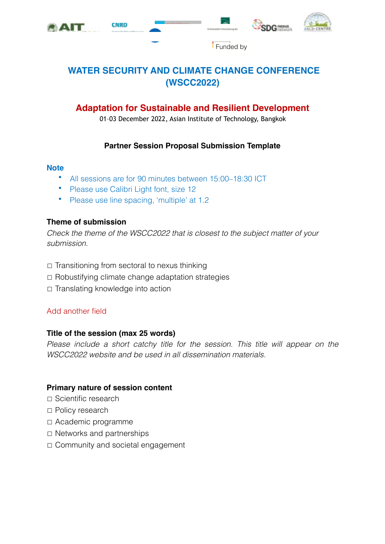







**Funded by** 

# **WATER SECURITY AND CLIMATE CHANGE CONFERENCE (WSCC2022)**

# **Adaptation for Sustainable and Resilient Development**

01–03 December 2022, Asian Institute of Technology, Bangkok

#### **Partner Session Proposal Submission Template**

#### **Note**

- All sessions are for 90 minutes between 15:00–18:30 ICT
- Please use Calibri Light font, size 12
- Please use line spacing, 'multiple' at 1.2

#### **Theme of submission**

*Check the theme of the WSCC2022 that is closest to the subject matter of your submission.* 

- ☐ Transitioning from sectoral to nexus thinking
- ☐ Robustifying climate change adaptation strategies
- ☐ Translating knowledge into action

## Add another field

#### **Title of the session (max 25 words)**

*Please include a short catchy title for the session. This title will appear on the WSCC2022 website and be used in all dissemination materials.*

#### **Primary nature of session content**

- ☐ Scientific research
- ☐ Policy research
- ☐ Academic programme
- ☐ Networks and partnerships
- ☐ Community and societal engagement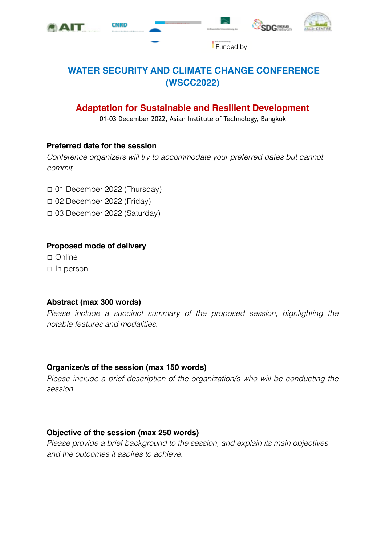







**Funded by** 

# **WATER SECURITY AND CLIMATE CHANGE CONFERENCE (WSCC2022)**

# **Adaptation for Sustainable and Resilient Development**

01–03 December 2022, Asian Institute of Technology, Bangkok

#### **Preferred date for the session**

*Conference organizers will try to accommodate your preferred dates but cannot commit.*

- ☐ 01 December 2022 (Thursday)
- ☐ 02 December 2022 (Friday)
- ☐ 03 December 2022 (Saturday)

## **Proposed mode of delivery**

☐ Online ☐ In person

## **Abstract (max 300 words)**

*Please include a succinct summary of the proposed session, highlighting the notable features and modalities.* 

## **Organizer/s of the session (max 150 words)**

*Please include a brief description of the organization/s who will be conducting the session.* 

## **Objective of the session (max 250 words)**

*Please provide a brief background to the session, and explain its main objectives and the outcomes it aspires to achieve.*